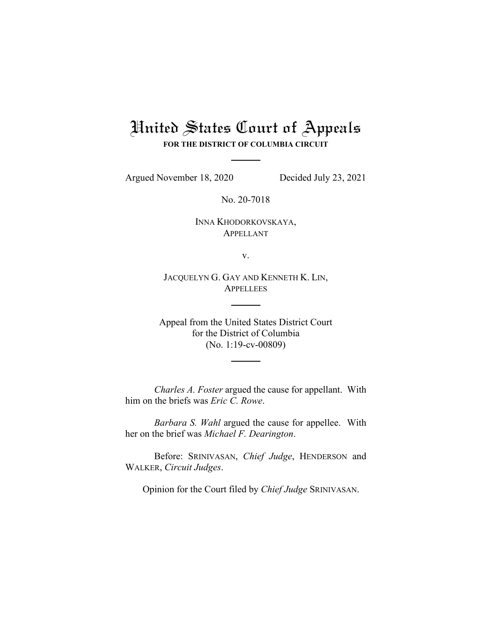# United States Court of Appeals

**FOR THE DISTRICT OF COLUMBIA CIRCUIT**

Argued November 18, 2020 Decided July 23, 2021

No. 20-7018

INNA KHODORKOVSKAYA, APPELLANT

v.

JACQUELYN G. GAY AND KENNETH K. LIN, **APPELLEES** 

Appeal from the United States District Court for the District of Columbia (No. 1:19-cv-00809)

*Charles A. Foster* argued the cause for appellant. With him on the briefs was *Eric C. Rowe*.

*Barbara S. Wahl* argued the cause for appellee. With her on the brief was *Michael F. Dearington*.

Before: SRINIVASAN, *Chief Judge*, HENDERSON and WALKER, *Circuit Judges*.

Opinion for the Court filed by *Chief Judge* SRINIVASAN.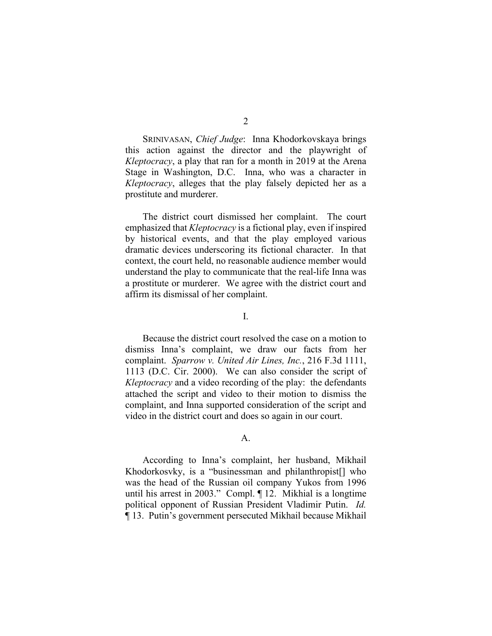SRINIVASAN, *Chief Judge*: Inna Khodorkovskaya brings this action against the director and the playwright of *Kleptocracy*, a play that ran for a month in 2019 at the Arena Stage in Washington, D.C. Inna, who was a character in *Kleptocracy*, alleges that the play falsely depicted her as a prostitute and murderer.

The district court dismissed her complaint. The court emphasized that *Kleptocracy* is a fictional play, even if inspired by historical events, and that the play employed various dramatic devices underscoring its fictional character. In that context, the court held, no reasonable audience member would understand the play to communicate that the real-life Inna was a prostitute or murderer. We agree with the district court and affirm its dismissal of her complaint.

I.

Because the district court resolved the case on a motion to dismiss Inna's complaint, we draw our facts from her complaint. *Sparrow v. United Air Lines, Inc.*, 216 F.3d 1111, 1113 (D.C. Cir. 2000). We can also consider the script of *Kleptocracy* and a video recording of the play: the defendants attached the script and video to their motion to dismiss the complaint, and Inna supported consideration of the script and video in the district court and does so again in our court.

#### A.

According to Inna's complaint, her husband, Mikhail Khodorkosvky, is a "businessman and philanthropist[] who was the head of the Russian oil company Yukos from 1996 until his arrest in 2003." Compl. ¶ 12. Mikhial is a longtime political opponent of Russian President Vladimir Putin. *Id.* ¶ 13. Putin's government persecuted Mikhail because Mikhail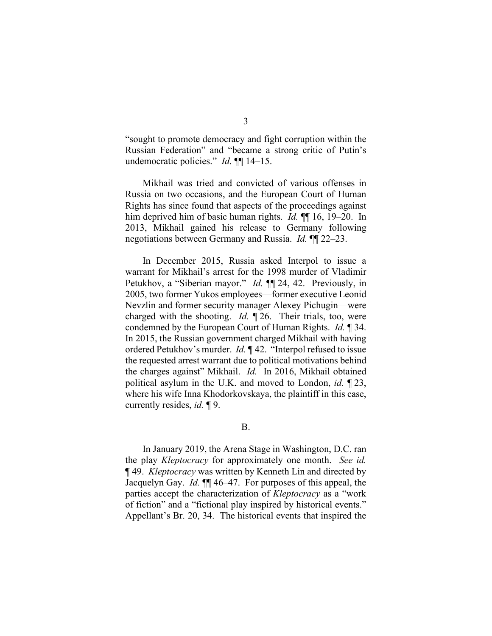"sought to promote democracy and fight corruption within the Russian Federation" and "became a strong critic of Putin's undemocratic policies." *Id.* ¶¶ 14–15.

Mikhail was tried and convicted of various offenses in Russia on two occasions, and the European Court of Human Rights has since found that aspects of the proceedings against him deprived him of basic human rights. *Id.* ¶¶ 16, 19–20. In 2013, Mikhail gained his release to Germany following negotiations between Germany and Russia. *Id.* ¶¶ 22–23.

In December 2015, Russia asked Interpol to issue a warrant for Mikhail's arrest for the 1998 murder of Vladimir Petukhov, a "Siberian mayor." *Id.* ¶¶ 24, 42. Previously, in 2005, two former Yukos employees—former executive Leonid Nevzlin and former security manager Alexey Pichugin—were charged with the shooting. *Id.* ¶ 26. Their trials, too, were condemned by the European Court of Human Rights. *Id.* ¶ 34. In 2015, the Russian government charged Mikhail with having ordered Petukhov's murder. *Id.* ¶ 42. "Interpol refused to issue the requested arrest warrant due to political motivations behind the charges against" Mikhail. *Id.* In 2016, Mikhail obtained political asylum in the U.K. and moved to London, *id.* ¶ 23, where his wife Inna Khodorkovskaya, the plaintiff in this case, currently resides, *id.* ¶ 9.

#### B.

In January 2019, the Arena Stage in Washington, D.C. ran the play *Kleptocracy* for approximately one month. *See id.* ¶ 49. *Kleptocracy* was written by Kenneth Lin and directed by Jacquelyn Gay. *Id.* ¶¶ 46–47. For purposes of this appeal, the parties accept the characterization of *Kleptocracy* as a "work of fiction" and a "fictional play inspired by historical events." Appellant's Br. 20, 34. The historical events that inspired the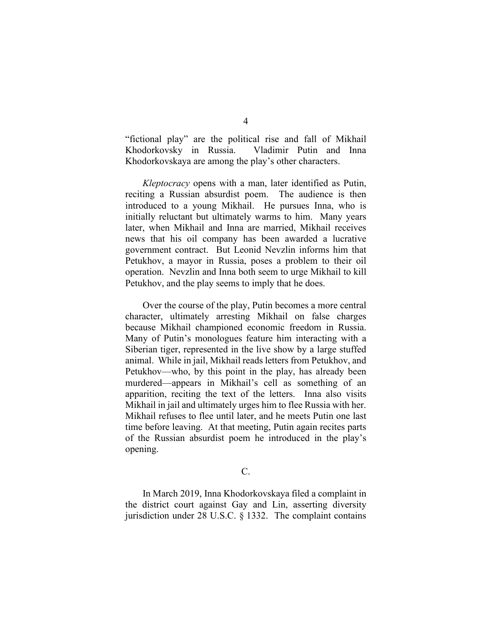"fictional play" are the political rise and fall of Mikhail Khodorkovsky in Russia. Vladimir Putin and Inna Khodorkovskaya are among the play's other characters.

*Kleptocracy* opens with a man, later identified as Putin, reciting a Russian absurdist poem. The audience is then introduced to a young Mikhail. He pursues Inna, who is initially reluctant but ultimately warms to him. Many years later, when Mikhail and Inna are married, Mikhail receives news that his oil company has been awarded a lucrative government contract. But Leonid Nevzlin informs him that Petukhov, a mayor in Russia, poses a problem to their oil operation. Nevzlin and Inna both seem to urge Mikhail to kill Petukhov, and the play seems to imply that he does.

Over the course of the play, Putin becomes a more central character, ultimately arresting Mikhail on false charges because Mikhail championed economic freedom in Russia. Many of Putin's monologues feature him interacting with a Siberian tiger, represented in the live show by a large stuffed animal. While in jail, Mikhail reads letters from Petukhov, and Petukhov—who, by this point in the play, has already been murdered—appears in Mikhail's cell as something of an apparition, reciting the text of the letters. Inna also visits Mikhail in jail and ultimately urges him to flee Russia with her. Mikhail refuses to flee until later, and he meets Putin one last time before leaving. At that meeting, Putin again recites parts of the Russian absurdist poem he introduced in the play's opening.

## C.

In March 2019, Inna Khodorkovskaya filed a complaint in the district court against Gay and Lin, asserting diversity jurisdiction under 28 U.S.C. § 1332. The complaint contains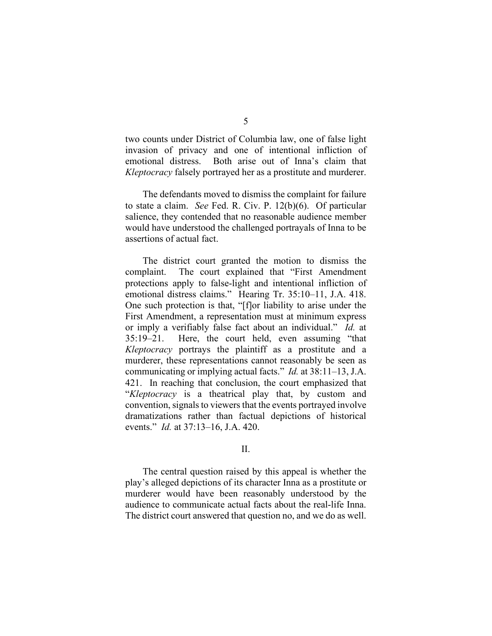two counts under District of Columbia law, one of false light invasion of privacy and one of intentional infliction of emotional distress. Both arise out of Inna's claim that *Kleptocracy* falsely portrayed her as a prostitute and murderer.

The defendants moved to dismiss the complaint for failure to state a claim. *See* Fed. R. Civ. P. 12(b)(6). Of particular salience, they contended that no reasonable audience member would have understood the challenged portrayals of Inna to be assertions of actual fact.

The district court granted the motion to dismiss the complaint. The court explained that "First Amendment protections apply to false-light and intentional infliction of emotional distress claims." Hearing Tr. 35:10–11, J.A. 418. One such protection is that, "[f]or liability to arise under the First Amendment, a representation must at minimum express or imply a verifiably false fact about an individual." *Id.* at 35:19–21. Here, the court held, even assuming "that *Kleptocracy* portrays the plaintiff as a prostitute and a murderer, these representations cannot reasonably be seen as communicating or implying actual facts." *Id.* at 38:11–13, J.A. 421. In reaching that conclusion, the court emphasized that "*Kleptocracy* is a theatrical play that, by custom and convention, signals to viewers that the events portrayed involve dramatizations rather than factual depictions of historical events." *Id.* at 37:13–16, J.A. 420.

## II.

The central question raised by this appeal is whether the play's alleged depictions of its character Inna as a prostitute or murderer would have been reasonably understood by the audience to communicate actual facts about the real-life Inna. The district court answered that question no, and we do as well.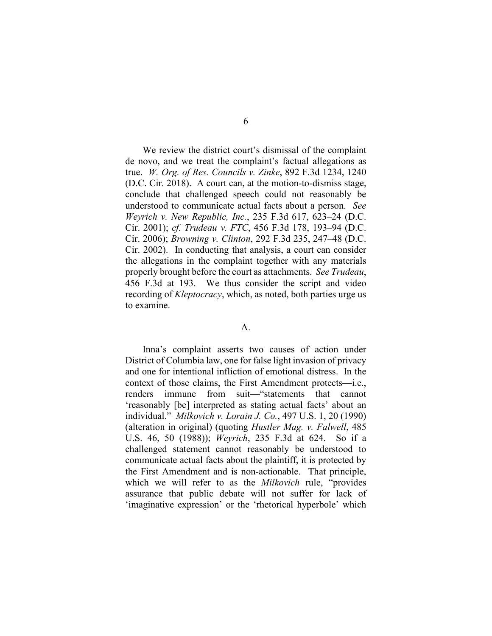We review the district court's dismissal of the complaint de novo, and we treat the complaint's factual allegations as true. *W. Org. of Res. Councils v. Zinke*, 892 F.3d 1234, 1240 (D.C. Cir. 2018). A court can, at the motion-to-dismiss stage, conclude that challenged speech could not reasonably be understood to communicate actual facts about a person. *See Weyrich v. New Republic, Inc.*, 235 F.3d 617, 623–24 (D.C. Cir. 2001); *cf. Trudeau v. FTC*, 456 F.3d 178, 193–94 (D.C. Cir. 2006); *Browning v. Clinton*, 292 F.3d 235, 247–48 (D.C. Cir. 2002). In conducting that analysis, a court can consider the allegations in the complaint together with any materials properly brought before the court as attachments. *See Trudeau*, 456 F.3d at 193. We thus consider the script and video recording of *Kleptocracy*, which, as noted, both parties urge us to examine.

## A.

Inna's complaint asserts two causes of action under District of Columbia law, one for false light invasion of privacy and one for intentional infliction of emotional distress. In the context of those claims, the First Amendment protects—i.e., renders immune from suit—"statements that cannot 'reasonably [be] interpreted as stating actual facts' about an individual." *Milkovich v. Lorain J. Co.*, 497 U.S. 1, 20 (1990) (alteration in original) (quoting *Hustler Mag. v. Falwell*, 485 U.S. 46, 50 (1988)); *Weyrich*, 235 F.3d at 624. So if a challenged statement cannot reasonably be understood to communicate actual facts about the plaintiff, it is protected by the First Amendment and is non-actionable. That principle, which we will refer to as the *Milkovich* rule, "provides assurance that public debate will not suffer for lack of 'imaginative expression' or the 'rhetorical hyperbole' which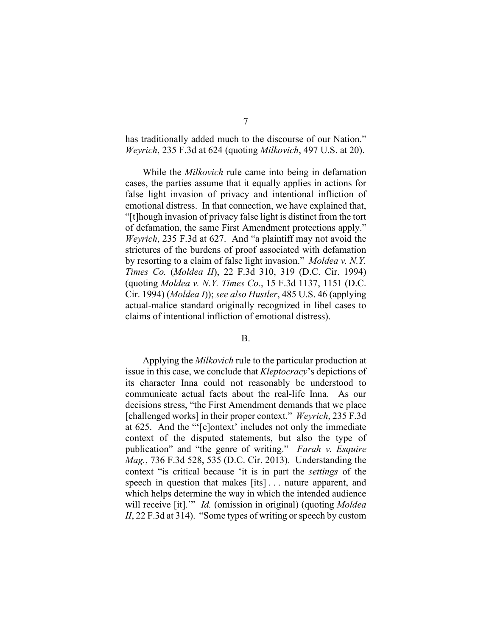has traditionally added much to the discourse of our Nation." *Weyrich*, 235 F.3d at 624 (quoting *Milkovich*, 497 U.S. at 20).

While the *Milkovich* rule came into being in defamation cases, the parties assume that it equally applies in actions for false light invasion of privacy and intentional infliction of emotional distress. In that connection, we have explained that, "[t]hough invasion of privacy false light is distinct from the tort of defamation, the same First Amendment protections apply." *Weyrich*, 235 F.3d at 627. And "a plaintiff may not avoid the strictures of the burdens of proof associated with defamation by resorting to a claim of false light invasion." *Moldea v. N.Y. Times Co.* (*Moldea II*), 22 F.3d 310, 319 (D.C. Cir. 1994) (quoting *Moldea v. N.Y. Times Co.*, 15 F.3d 1137, 1151 (D.C. Cir. 1994) (*Moldea I*)); *see also Hustler*, 485 U.S. 46 (applying actual-malice standard originally recognized in libel cases to claims of intentional infliction of emotional distress).

#### B.

Applying the *Milkovich* rule to the particular production at issue in this case, we conclude that *Kleptocracy*'s depictions of its character Inna could not reasonably be understood to communicate actual facts about the real-life Inna. As our decisions stress, "the First Amendment demands that we place [challenged works] in their proper context." *Weyrich*, 235 F.3d at 625. And the "'[c]ontext' includes not only the immediate context of the disputed statements, but also the type of publication" and "the genre of writing." *Farah v. Esquire Mag.*, 736 F.3d 528, 535 (D.C. Cir. 2013). Understanding the context "is critical because 'it is in part the *settings* of the speech in question that makes [its]... nature apparent, and which helps determine the way in which the intended audience will receive [it].'" *Id.* (omission in original) (quoting *Moldea II*, 22 F.3d at 314). "Some types of writing or speech by custom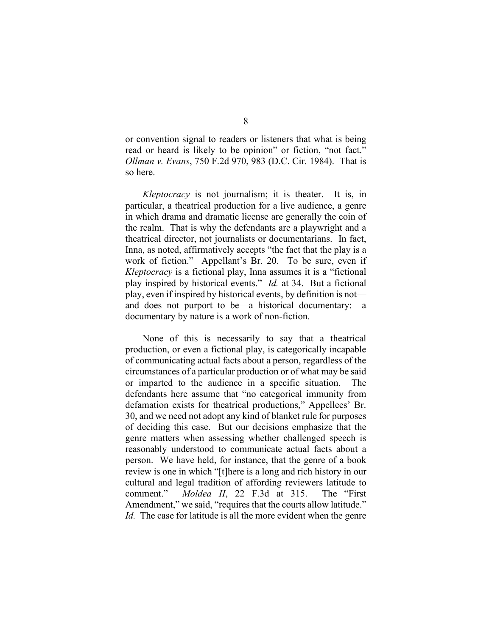or convention signal to readers or listeners that what is being read or heard is likely to be opinion" or fiction, "not fact." *Ollman v. Evans*, 750 F.2d 970, 983 (D.C. Cir. 1984). That is so here.

*Kleptocracy* is not journalism; it is theater. It is, in particular, a theatrical production for a live audience, a genre in which drama and dramatic license are generally the coin of the realm. That is why the defendants are a playwright and a theatrical director, not journalists or documentarians. In fact, Inna, as noted, affirmatively accepts "the fact that the play is a work of fiction." Appellant's Br. 20. To be sure, even if *Kleptocracy* is a fictional play, Inna assumes it is a "fictional play inspired by historical events." *Id.* at 34. But a fictional play, even if inspired by historical events, by definition is not and does not purport to be—a historical documentary: a documentary by nature is a work of non-fiction.

None of this is necessarily to say that a theatrical production, or even a fictional play, is categorically incapable of communicating actual facts about a person, regardless of the circumstances of a particular production or of what may be said or imparted to the audience in a specific situation. The defendants here assume that "no categorical immunity from defamation exists for theatrical productions," Appellees' Br. 30, and we need not adopt any kind of blanket rule for purposes of deciding this case. But our decisions emphasize that the genre matters when assessing whether challenged speech is reasonably understood to communicate actual facts about a person. We have held, for instance, that the genre of a book review is one in which "[t]here is a long and rich history in our cultural and legal tradition of affording reviewers latitude to comment." *Moldea II*, 22 F.3d at 315. The "First Amendment," we said, "requires that the courts allow latitude." *Id.* The case for latitude is all the more evident when the genre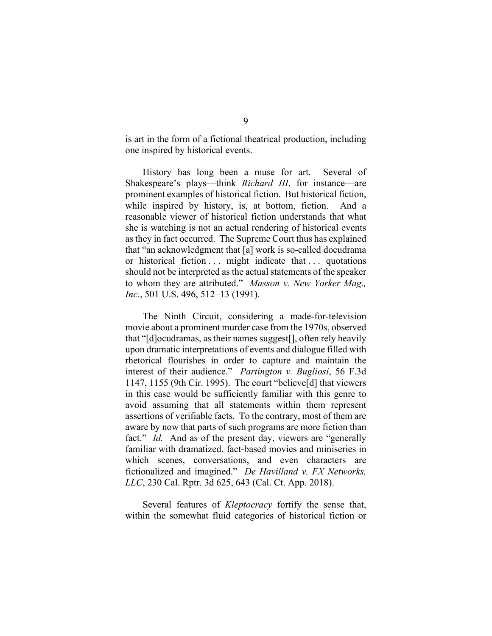is art in the form of a fictional theatrical production, including one inspired by historical events.

History has long been a muse for art. Several of Shakespeare's plays—think *Richard III*, for instance—are prominent examples of historical fiction. But historical fiction, while inspired by history, is, at bottom, fiction. And a reasonable viewer of historical fiction understands that what she is watching is not an actual rendering of historical events as they in fact occurred. The Supreme Court thus has explained that "an acknowledgment that [a] work is so-called docudrama or historical fiction ... might indicate that ... quotations should not be interpreted as the actual statements of the speaker to whom they are attributed." *Masson v. New Yorker Mag., Inc.*, 501 U.S. 496, 512–13 (1991).

The Ninth Circuit, considering a made-for-television movie about a prominent murder case from the 1970s, observed that "[d]ocudramas, as their names suggest[], often rely heavily upon dramatic interpretations of events and dialogue filled with rhetorical flourishes in order to capture and maintain the interest of their audience." *Partington v. Bugliosi*, 56 F.3d 1147, 1155 (9th Cir. 1995). The court "believe[d] that viewers in this case would be sufficiently familiar with this genre to avoid assuming that all statements within them represent assertions of verifiable facts. To the contrary, most of them are aware by now that parts of such programs are more fiction than fact." *Id.* And as of the present day, viewers are "generally familiar with dramatized, fact-based movies and miniseries in which scenes, conversations, and even characters are fictionalized and imagined." *De Havilland v. FX Networks, LLC*, 230 Cal. Rptr. 3d 625, 643 (Cal. Ct. App. 2018).

Several features of *Kleptocracy* fortify the sense that, within the somewhat fluid categories of historical fiction or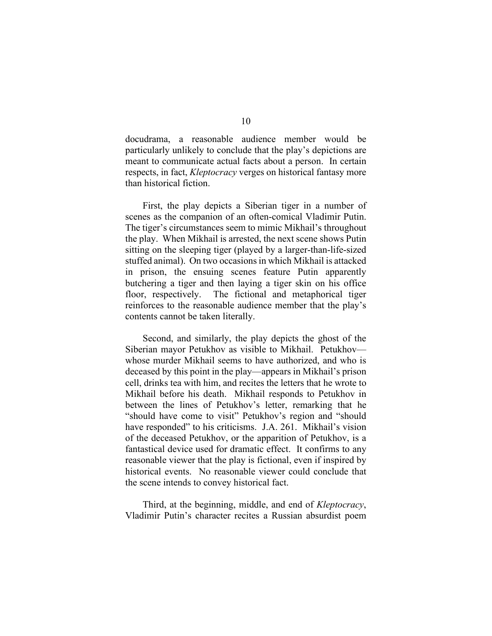docudrama, a reasonable audience member would be particularly unlikely to conclude that the play's depictions are meant to communicate actual facts about a person. In certain respects, in fact, *Kleptocracy* verges on historical fantasy more than historical fiction.

First, the play depicts a Siberian tiger in a number of scenes as the companion of an often-comical Vladimir Putin. The tiger's circumstances seem to mimic Mikhail's throughout the play. When Mikhail is arrested, the next scene shows Putin sitting on the sleeping tiger (played by a larger-than-life-sized stuffed animal). On two occasions in which Mikhail is attacked in prison, the ensuing scenes feature Putin apparently butchering a tiger and then laying a tiger skin on his office floor, respectively. The fictional and metaphorical tiger reinforces to the reasonable audience member that the play's contents cannot be taken literally.

Second, and similarly, the play depicts the ghost of the Siberian mayor Petukhov as visible to Mikhail. Petukhov whose murder Mikhail seems to have authorized, and who is deceased by this point in the play—appears in Mikhail's prison cell, drinks tea with him, and recites the letters that he wrote to Mikhail before his death. Mikhail responds to Petukhov in between the lines of Petukhov's letter, remarking that he "should have come to visit" Petukhov's region and "should have responded" to his criticisms. J.A. 261. Mikhail's vision of the deceased Petukhov, or the apparition of Petukhov, is a fantastical device used for dramatic effect. It confirms to any reasonable viewer that the play is fictional, even if inspired by historical events. No reasonable viewer could conclude that the scene intends to convey historical fact.

Third, at the beginning, middle, and end of *Kleptocracy*, Vladimir Putin's character recites a Russian absurdist poem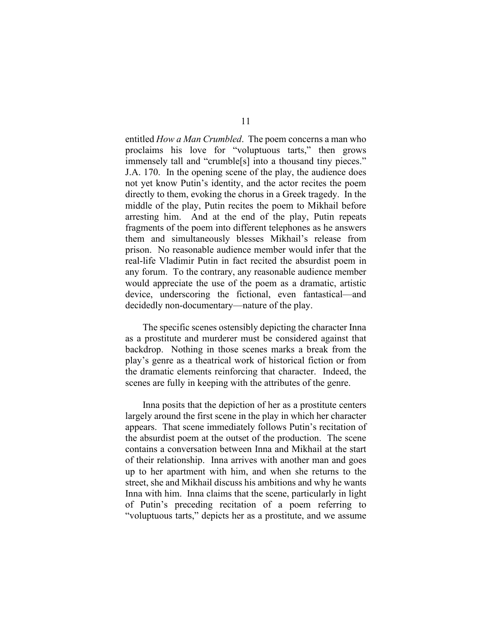entitled *How a Man Crumbled*. The poem concerns a man who proclaims his love for "voluptuous tarts," then grows immensely tall and "crumble[s] into a thousand tiny pieces." J.A. 170. In the opening scene of the play, the audience does not yet know Putin's identity, and the actor recites the poem directly to them, evoking the chorus in a Greek tragedy. In the middle of the play, Putin recites the poem to Mikhail before arresting him. And at the end of the play, Putin repeats fragments of the poem into different telephones as he answers them and simultaneously blesses Mikhail's release from prison. No reasonable audience member would infer that the real-life Vladimir Putin in fact recited the absurdist poem in any forum. To the contrary, any reasonable audience member would appreciate the use of the poem as a dramatic, artistic device, underscoring the fictional, even fantastical—and decidedly non-documentary—nature of the play.

The specific scenes ostensibly depicting the character Inna as a prostitute and murderer must be considered against that backdrop. Nothing in those scenes marks a break from the play's genre as a theatrical work of historical fiction or from the dramatic elements reinforcing that character. Indeed, the scenes are fully in keeping with the attributes of the genre.

Inna posits that the depiction of her as a prostitute centers largely around the first scene in the play in which her character appears. That scene immediately follows Putin's recitation of the absurdist poem at the outset of the production. The scene contains a conversation between Inna and Mikhail at the start of their relationship. Inna arrives with another man and goes up to her apartment with him, and when she returns to the street, she and Mikhail discuss his ambitions and why he wants Inna with him. Inna claims that the scene, particularly in light of Putin's preceding recitation of a poem referring to "voluptuous tarts," depicts her as a prostitute, and we assume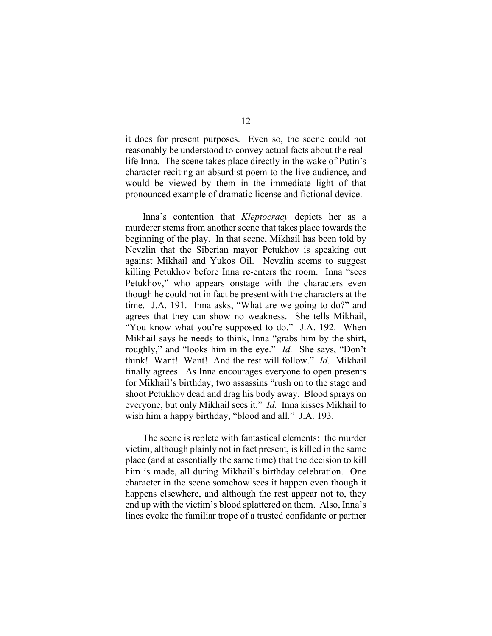it does for present purposes. Even so, the scene could not reasonably be understood to convey actual facts about the reallife Inna. The scene takes place directly in the wake of Putin's character reciting an absurdist poem to the live audience, and would be viewed by them in the immediate light of that pronounced example of dramatic license and fictional device.

Inna's contention that *Kleptocracy* depicts her as a murderer stems from another scene that takes place towards the beginning of the play. In that scene, Mikhail has been told by Nevzlin that the Siberian mayor Petukhov is speaking out against Mikhail and Yukos Oil. Nevzlin seems to suggest killing Petukhov before Inna re-enters the room. Inna "sees Petukhov," who appears onstage with the characters even though he could not in fact be present with the characters at the time. J.A. 191. Inna asks, "What are we going to do?" and agrees that they can show no weakness. She tells Mikhail, "You know what you're supposed to do." J.A. 192. When Mikhail says he needs to think, Inna "grabs him by the shirt, roughly," and "looks him in the eye." *Id.* She says, "Don't think! Want! Want! And the rest will follow." *Id.* Mikhail finally agrees. As Inna encourages everyone to open presents for Mikhail's birthday, two assassins "rush on to the stage and shoot Petukhov dead and drag his body away. Blood sprays on everyone, but only Mikhail sees it." *Id.* Inna kisses Mikhail to wish him a happy birthday, "blood and all." J.A. 193.

The scene is replete with fantastical elements: the murder victim, although plainly not in fact present, is killed in the same place (and at essentially the same time) that the decision to kill him is made, all during Mikhail's birthday celebration. One character in the scene somehow sees it happen even though it happens elsewhere, and although the rest appear not to, they end up with the victim's blood splattered on them. Also, Inna's lines evoke the familiar trope of a trusted confidante or partner